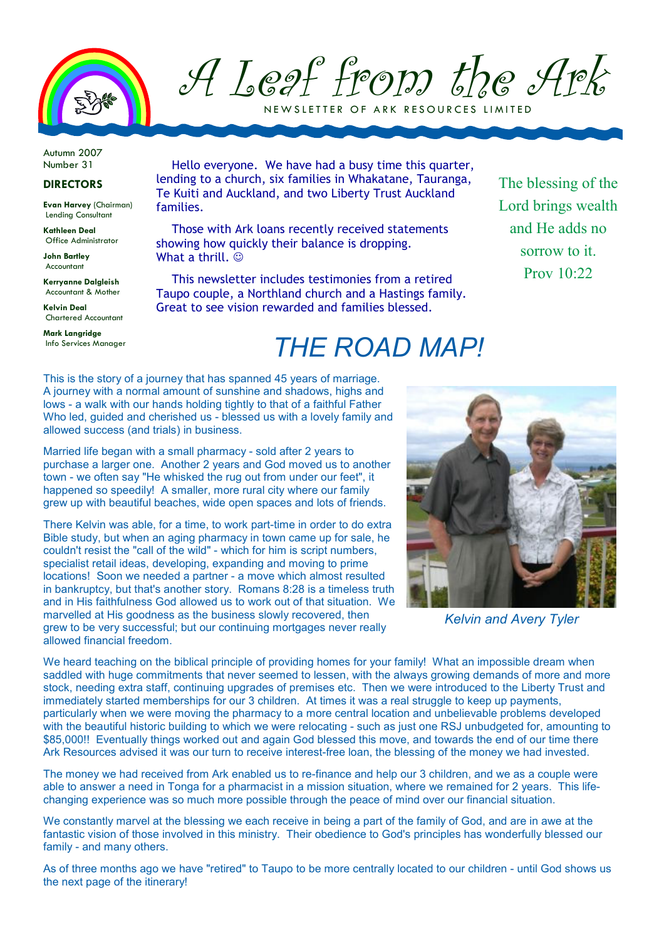

A Leaf from the Ark

NEW SLETTER OF ARK RESOURCES LIMITED

Autumn 2007 Number 31

## DIRECTORS

Evan Harvey (Chairman) Lending Consultant

Kathleen Deal Office Administrator

John Bartley Accountant

Kerryanne Dalgleish Accountant & Mother

Kelvin Deal Chartered Accountant

Mark Langridge Info Services Manager

Hello everyone. We have had a busy time this quarter, lending to a church, six families in Whakatane, Tauranga, Te Kuiti and Auckland, and two Liberty Trust Auckland families.

Those with Ark loans recently received statements showing how quickly their balance is dropping. What a thrill.  $\odot$ 

This newsletter includes testimonies from a retired Taupo couple, a Northland church and a Hastings family. Great to see vision rewarded and families blessed.

The blessing of the Lord brings wealth and He adds no sorrow to it. Prov  $10:22$ 

## THE ROAD MAP!

This is the story of a journey that has spanned 45 years of marriage. A journey with a normal amount of sunshine and shadows, highs and lows - a walk with our hands holding tightly to that of a faithful Father Who led, quided and cherished us - blessed us with a lovely family and allowed success (and trials) in business.

Married life began with a small pharmacy - sold after 2 years to purchase a larger one. Another 2 years and God moved us to another town - we often say "He whisked the rug out from under our feet", it happened so speedily! A smaller, more rural city where our family grew up with beautiful beaches, wide open spaces and lots of friends.

There Kelvin was able, for a time, to work part-time in order to do extra Bible study, but when an aging pharmacy in town came up for sale, he couldn't resist the "call of the wild" - which for him is script numbers, specialist retail ideas, developing, expanding and moving to prime locations! Soon we needed a partner - a move which almost resulted in bankruptcy, but that's another story. Romans 8:28 is a timeless truth and in His faithfulness God allowed us to work out of that situation. We marvelled at His goodness as the business slowly recovered, then grew to be very successful; but our continuing mortgages never really allowed financial freedom.



Kelvin and Avery Tyler

We heard teaching on the biblical principle of providing homes for your family! What an impossible dream when saddled with huge commitments that never seemed to lessen, with the always growing demands of more and more stock, needing extra staff, continuing upgrades of premises etc. Then we were introduced to the Liberty Trust and immediately started memberships for our 3 children. At times it was a real struggle to keep up payments, particularly when we were moving the pharmacy to a more central location and unbelievable problems developed with the beautiful historic building to which we were relocating - such as just one RSJ unbudgeted for, amounting to \$85,000!! Eventually things worked out and again God blessed this move, and towards the end of our time there Ark Resources advised it was our turn to receive interest-free loan, the blessing of the money we had invested.

The money we had received from Ark enabled us to re-finance and help our 3 children, and we as a couple were able to answer a need in Tonga for a pharmacist in a mission situation, where we remained for 2 years. This lifechanging experience was so much more possible through the peace of mind over our financial situation.

We constantly marvel at the blessing we each receive in being a part of the family of God, and are in awe at the fantastic vision of those involved in this ministry. Their obedience to God's principles has wonderfully blessed our family - and many others.

As of three months ago we have "retired" to Taupo to be more centrally located to our children - until God shows us the next page of the itinerary!